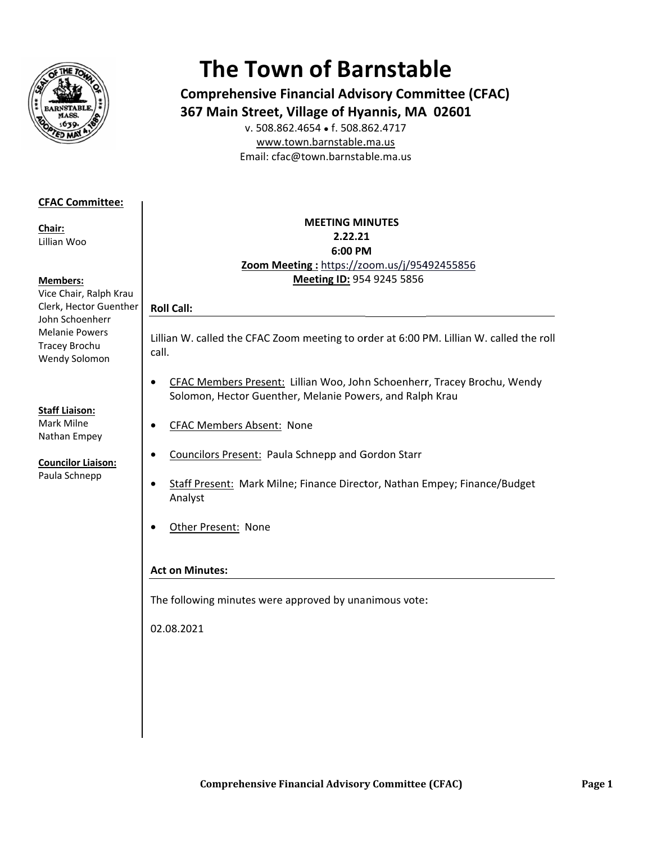

# **The Town of Barnstable**

**Comprehensive Financial Advisory Committee (CFAC)** 367 Main Street, Village of Hyannis, MA 02601

v. 508.862.4654 • f. 508.862.4717 www.town.barnstable.ma.us Email: cfac@town.barnstable.ma.us

# **CFAC Committee:**

Chair: Lillian Woo

# **Members:**

Vice Chair, Ralph Krau Clerk, Hector Guenther John Schoenherr **Melanie Powers** Tracey Brochu Wendy Solomon

# **Staff Liaison:**

Mark Milne Nathan Empey

#### **Councilor Liaison:** Paula Schnepp

# **MEETING MINUTES** 2.22.21 6:00 PM Zoom Meeting: https://zoom.us/j/95492455856 Meeting ID: 954 9245 5856

Lillian W. called the CFAC Zoom meeting to order at 6:00 PM. Lillian W. called the roll call.

- CFAC Members Present: Lillian Woo, John Schoenherr, Tracey Brochu, Wendy  $\bullet$ Solomon, Hector Guenther, Melanie Powers, and Ralph Krau
- **CFAC Members Absent: None**  $\bullet$
- $\bullet$ **Councilors Present: Paula Schnepp and Gordon Starr**
- Staff Present: Mark Milne; Finance Director, Nathan Empey; Finance/Budget  $\bullet$ Analyst
- Other Present: None  $\bullet$

# **Act on Minutes:**

**Roll Call:** 

The following minutes were approved by unanimous vote:

02.08.2021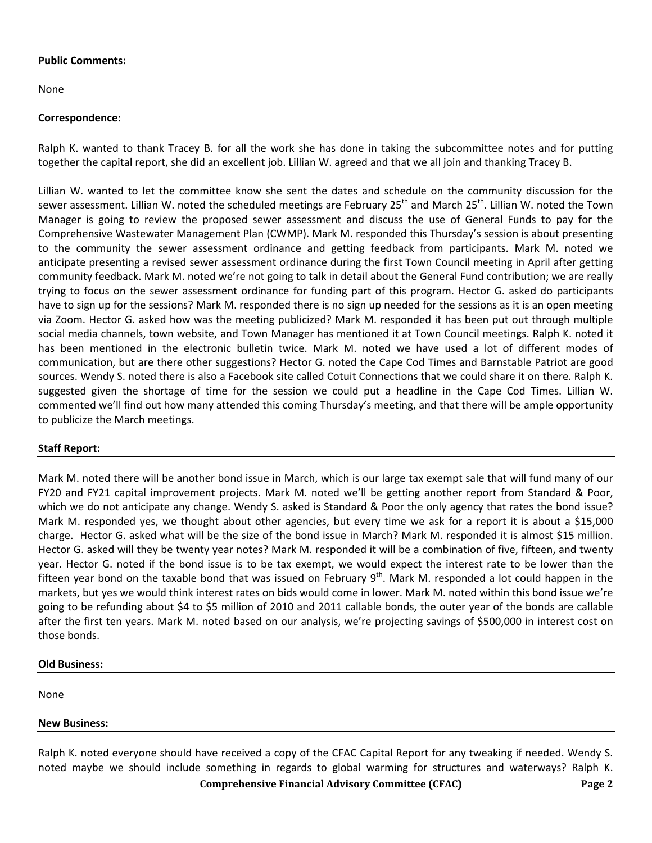#### **Public Comments:**

None

#### **Correspondence:**

Ralph K. wanted to thank Tracey B. for all the work she has done in taking the subcommittee notes and for putting together the capital report, she did an excellent job. Lillian W. agreed and that we all join and thanking Tracey B.

Lillian W. wanted to let the committee know she sent the dates and schedule on the community discussion for the sewer assessment. Lillian W. noted the scheduled meetings are February 25<sup>th</sup> and March 25<sup>th</sup>. Lillian W. noted the Town Manager is going to review the proposed sewer assessment and discuss the use of General Funds to pay for the Comprehensive Wastewater Management Plan (CWMP). Mark M. responded this Thursday's session is about presenting to the community the sewer assessment ordinance and getting feedback from participants. Mark M. noted we anticipate presenting a revised sewer assessment ordinance during the first Town Council meeting in April after getting community feedback. Mark M. noted we're not going to talk in detail about the General Fund contribution; we are really trying to focus on the sewer assessment ordinance for funding part of this program. Hector G. asked do participants have to sign up for the sessions? Mark M. responded there is no sign up needed for the sessions as it is an open meeting via Zoom. Hector G. asked how was the meeting publicized? Mark M. responded it has been put out through multiple social media channels, town website, and Town Manager has mentioned it at Town Council meetings. Ralph K. noted it has been mentioned in the electronic bulletin twice. Mark M. noted we have used a lot of different modes of communication, but are there other suggestions? Hector G. noted the Cape Cod Times and Barnstable Patriot are good sources. Wendy S. noted there is also a Facebook site called Cotuit Connections that we could share it on there. Ralph K. suggested given the shortage of time for the session we could put a headline in the Cape Cod Times. Lillian W. commented we'll find out how many attended this coming Thursday's meeting, and that there will be ample opportunity to publicize the March meetings.

# **Staff Report:**

Mark M. noted there will be another bond issue in March, which is our large tax exempt sale that will fund many of our FY20 and FY21 capital improvement projects. Mark M. noted we'll be getting another report from Standard & Poor, which we do not anticipate any change. Wendy S. asked is Standard & Poor the only agency that rates the bond issue? Mark M. responded yes, we thought about other agencies, but every time we ask for a report it is about a \$15,000 charge. Hector G. asked what will be the size of the bond issue in March? Mark M. responded it is almost \$15 million. Hector G. asked will they be twenty year notes? Mark M. responded it will be a combination of five, fifteen, and twenty year. Hector G. noted if the bond issue is to be tax exempt, we would expect the interest rate to be lower than the fifteen year bond on the taxable bond that was issued on February  $9<sup>th</sup>$ . Mark M. responded a lot could happen in the markets, but yes we would think interest rates on bids would come in lower. Mark M. noted within this bond issue we're going to be refunding about \$4 to \$5 million of 2010 and 2011 callable bonds, the outer year of the bonds are callable after the first ten years. Mark M. noted based on our analysis, we're projecting savings of \$500,000 in interest cost on those bonds.

# **Old Business:**

None

# **New Business:**

 **Comprehensive Financial Advisory Committee (CFAC) Page 2**  Ralph K. noted everyone should have received a copy of the CFAC Capital Report for any tweaking if needed. Wendy S. noted maybe we should include something in regards to global warming for structures and waterways? Ralph K.